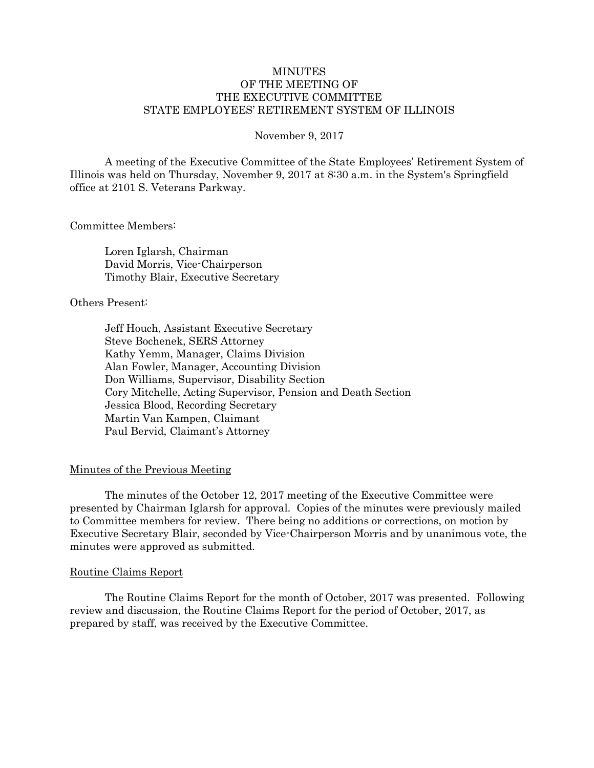# MINUTES OF THE MEETING OF THE EXECUTIVE COMMITTEE STATE EMPLOYEES' RETIREMENT SYSTEM OF ILLINOIS

### November 9, 2017

A meeting of the Executive Committee of the State Employees' Retirement System of Illinois was held on Thursday, November 9, 2017 at 8:30 a.m. in the System's Springfield office at 2101 S. Veterans Parkway.

### Committee Members:

Loren Iglarsh, Chairman David Morris, Vice-Chairperson Timothy Blair, Executive Secretary

### Others Present:

Jeff Houch, Assistant Executive Secretary Steve Bochenek, SERS Attorney Kathy Yemm, Manager, Claims Division Alan Fowler, Manager, Accounting Division Don Williams, Supervisor, Disability Section Cory Mitchelle, Acting Supervisor, Pension and Death Section Jessica Blood, Recording Secretary Martin Van Kampen, Claimant Paul Bervid, Claimant's Attorney

## Minutes of the Previous Meeting

The minutes of the October 12, 2017 meeting of the Executive Committee were presented by Chairman Iglarsh for approval. Copies of the minutes were previously mailed to Committee members for review. There being no additions or corrections, on motion by Executive Secretary Blair, seconded by Vice-Chairperson Morris and by unanimous vote, the minutes were approved as submitted.

#### Routine Claims Report

The Routine Claims Report for the month of October, 2017 was presented. Following review and discussion, the Routine Claims Report for the period of October, 2017, as prepared by staff, was received by the Executive Committee.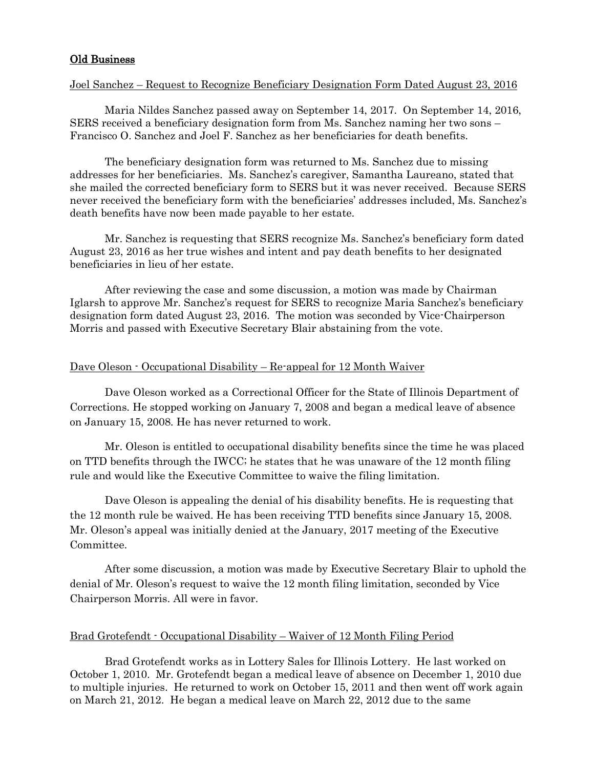# Old Business

### Joel Sanchez – Request to Recognize Beneficiary Designation Form Dated August 23, 2016

Maria Nildes Sanchez passed away on September 14, 2017. On September 14, 2016, SERS received a beneficiary designation form from Ms. Sanchez naming her two sons – Francisco O. Sanchez and Joel F. Sanchez as her beneficiaries for death benefits.

The beneficiary designation form was returned to Ms. Sanchez due to missing addresses for her beneficiaries. Ms. Sanchez's caregiver, Samantha Laureano, stated that she mailed the corrected beneficiary form to SERS but it was never received. Because SERS never received the beneficiary form with the beneficiaries' addresses included, Ms. Sanchez's death benefits have now been made payable to her estate.

Mr. Sanchez is requesting that SERS recognize Ms. Sanchez's beneficiary form dated August 23, 2016 as her true wishes and intent and pay death benefits to her designated beneficiaries in lieu of her estate.

After reviewing the case and some discussion, a motion was made by Chairman Iglarsh to approve Mr. Sanchez's request for SERS to recognize Maria Sanchez's beneficiary designation form dated August 23, 2016. The motion was seconded by Vice-Chairperson Morris and passed with Executive Secretary Blair abstaining from the vote.

## Dave Oleson - Occupational Disability – Re-appeal for 12 Month Waiver

Dave Oleson worked as a Correctional Officer for the State of Illinois Department of Corrections. He stopped working on January 7, 2008 and began a medical leave of absence on January 15, 2008. He has never returned to work.

Mr. Oleson is entitled to occupational disability benefits since the time he was placed on TTD benefits through the IWCC; he states that he was unaware of the 12 month filing rule and would like the Executive Committee to waive the filing limitation.

Dave Oleson is appealing the denial of his disability benefits. He is requesting that the 12 month rule be waived. He has been receiving TTD benefits since January 15, 2008. Mr. Oleson's appeal was initially denied at the January, 2017 meeting of the Executive Committee.

After some discussion, a motion was made by Executive Secretary Blair to uphold the denial of Mr. Oleson's request to waive the 12 month filing limitation, seconded by Vice Chairperson Morris. All were in favor.

## Brad Grotefendt - Occupational Disability – Waiver of 12 Month Filing Period

Brad Grotefendt works as in Lottery Sales for Illinois Lottery. He last worked on October 1, 2010. Mr. Grotefendt began a medical leave of absence on December 1, 2010 due to multiple injuries. He returned to work on October 15, 2011 and then went off work again on March 21, 2012. He began a medical leave on March 22, 2012 due to the same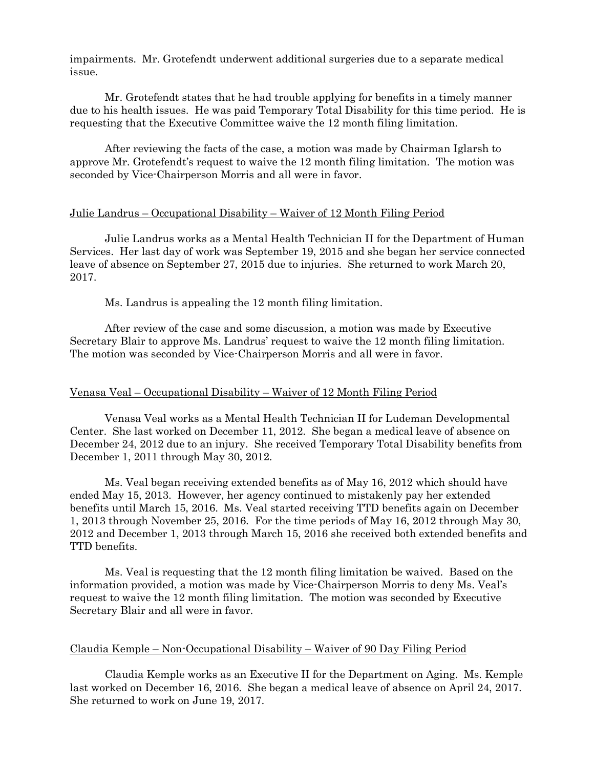impairments. Mr. Grotefendt underwent additional surgeries due to a separate medical issue.

Mr. Grotefendt states that he had trouble applying for benefits in a timely manner due to his health issues. He was paid Temporary Total Disability for this time period. He is requesting that the Executive Committee waive the 12 month filing limitation.

After reviewing the facts of the case, a motion was made by Chairman Iglarsh to approve Mr. Grotefendt's request to waive the 12 month filing limitation. The motion was seconded by Vice-Chairperson Morris and all were in favor.

## Julie Landrus – Occupational Disability – Waiver of 12 Month Filing Period

Julie Landrus works as a Mental Health Technician II for the Department of Human Services. Her last day of work was September 19, 2015 and she began her service connected leave of absence on September 27, 2015 due to injuries. She returned to work March 20, 2017.

Ms. Landrus is appealing the 12 month filing limitation.

After review of the case and some discussion, a motion was made by Executive Secretary Blair to approve Ms. Landrus' request to waive the 12 month filing limitation. The motion was seconded by Vice-Chairperson Morris and all were in favor.

#### Venasa Veal – Occupational Disability – Waiver of 12 Month Filing Period

Venasa Veal works as a Mental Health Technician II for Ludeman Developmental Center. She last worked on December 11, 2012. She began a medical leave of absence on December 24, 2012 due to an injury. She received Temporary Total Disability benefits from December 1, 2011 through May 30, 2012.

Ms. Veal began receiving extended benefits as of May 16, 2012 which should have ended May 15, 2013. However, her agency continued to mistakenly pay her extended benefits until March 15, 2016. Ms. Veal started receiving TTD benefits again on December 1, 2013 through November 25, 2016. For the time periods of May 16, 2012 through May 30, 2012 and December 1, 2013 through March 15, 2016 she received both extended benefits and TTD benefits.

Ms. Veal is requesting that the 12 month filing limitation be waived. Based on the information provided, a motion was made by Vice-Chairperson Morris to deny Ms. Veal's request to waive the 12 month filing limitation. The motion was seconded by Executive Secretary Blair and all were in favor.

#### Claudia Kemple – Non-Occupational Disability – Waiver of 90 Day Filing Period

Claudia Kemple works as an Executive II for the Department on Aging. Ms. Kemple last worked on December 16, 2016. She began a medical leave of absence on April 24, 2017. She returned to work on June 19, 2017.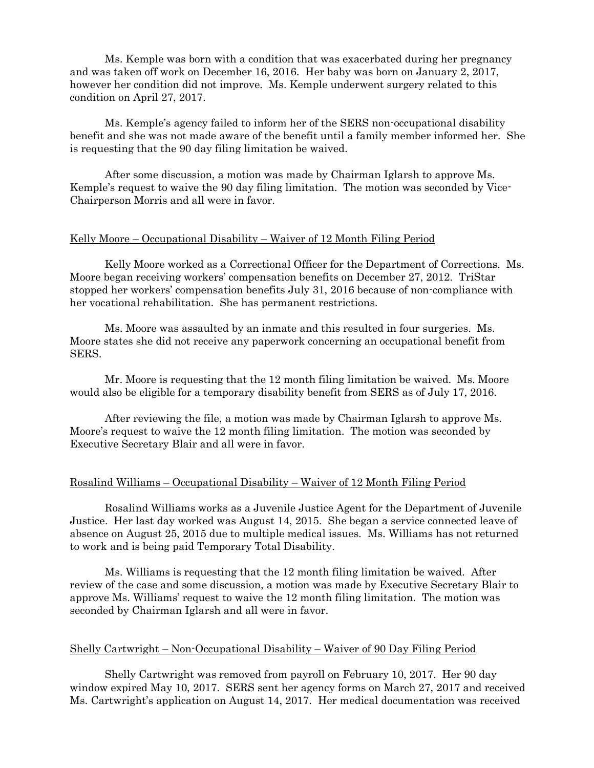Ms. Kemple was born with a condition that was exacerbated during her pregnancy and was taken off work on December 16, 2016. Her baby was born on January 2, 2017, however her condition did not improve. Ms. Kemple underwent surgery related to this condition on April 27, 2017.

Ms. Kemple's agency failed to inform her of the SERS non-occupational disability benefit and she was not made aware of the benefit until a family member informed her. She is requesting that the 90 day filing limitation be waived.

After some discussion, a motion was made by Chairman Iglarsh to approve Ms. Kemple's request to waive the 90 day filing limitation. The motion was seconded by Vice-Chairperson Morris and all were in favor.

### Kelly Moore – Occupational Disability – Waiver of 12 Month Filing Period

Kelly Moore worked as a Correctional Officer for the Department of Corrections. Ms. Moore began receiving workers' compensation benefits on December 27, 2012. TriStar stopped her workers' compensation benefits July 31, 2016 because of non-compliance with her vocational rehabilitation. She has permanent restrictions.

Ms. Moore was assaulted by an inmate and this resulted in four surgeries. Ms. Moore states she did not receive any paperwork concerning an occupational benefit from SERS.

Mr. Moore is requesting that the 12 month filing limitation be waived. Ms. Moore would also be eligible for a temporary disability benefit from SERS as of July 17, 2016.

After reviewing the file, a motion was made by Chairman Iglarsh to approve Ms. Moore's request to waive the 12 month filing limitation. The motion was seconded by Executive Secretary Blair and all were in favor.

### Rosalind Williams – Occupational Disability – Waiver of 12 Month Filing Period

Rosalind Williams works as a Juvenile Justice Agent for the Department of Juvenile Justice. Her last day worked was August 14, 2015. She began a service connected leave of absence on August 25, 2015 due to multiple medical issues. Ms. Williams has not returned to work and is being paid Temporary Total Disability.

Ms. Williams is requesting that the 12 month filing limitation be waived. After review of the case and some discussion, a motion was made by Executive Secretary Blair to approve Ms. Williams' request to waive the 12 month filing limitation. The motion was seconded by Chairman Iglarsh and all were in favor.

### Shelly Cartwright – Non-Occupational Disability – Waiver of 90 Day Filing Period

Shelly Cartwright was removed from payroll on February 10, 2017. Her 90 day window expired May 10, 2017. SERS sent her agency forms on March 27, 2017 and received Ms. Cartwright's application on August 14, 2017. Her medical documentation was received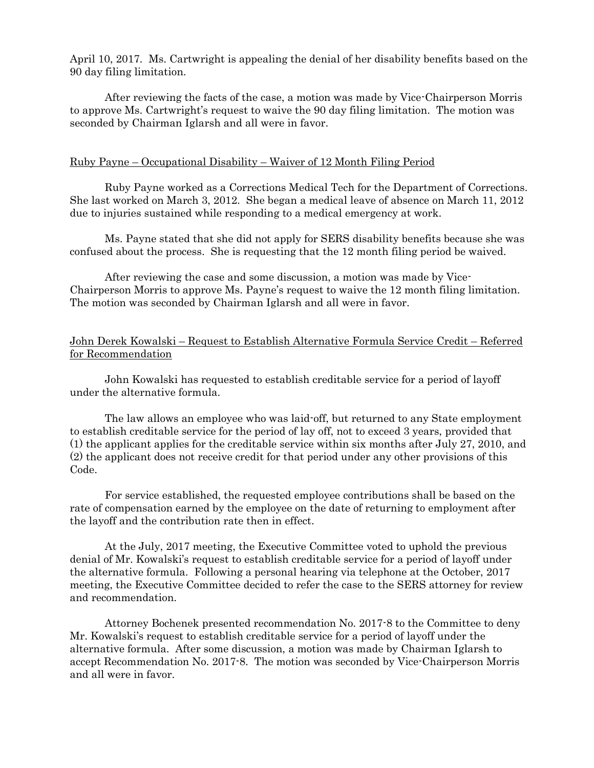April 10, 2017. Ms. Cartwright is appealing the denial of her disability benefits based on the 90 day filing limitation.

After reviewing the facts of the case, a motion was made by Vice-Chairperson Morris to approve Ms. Cartwright's request to waive the 90 day filing limitation. The motion was seconded by Chairman Iglarsh and all were in favor.

## Ruby Payne – Occupational Disability – Waiver of 12 Month Filing Period

Ruby Payne worked as a Corrections Medical Tech for the Department of Corrections. She last worked on March 3, 2012. She began a medical leave of absence on March 11, 2012 due to injuries sustained while responding to a medical emergency at work.

Ms. Payne stated that she did not apply for SERS disability benefits because she was confused about the process. She is requesting that the 12 month filing period be waived.

After reviewing the case and some discussion, a motion was made by Vice-Chairperson Morris to approve Ms. Payne's request to waive the 12 month filing limitation. The motion was seconded by Chairman Iglarsh and all were in favor.

# John Derek Kowalski – Request to Establish Alternative Formula Service Credit – Referred for Recommendation

John Kowalski has requested to establish creditable service for a period of layoff under the alternative formula.

The law allows an employee who was laid-off, but returned to any State employment to establish creditable service for the period of lay off, not to exceed 3 years, provided that (1) the applicant applies for the creditable service within six months after July 27, 2010, and (2) the applicant does not receive credit for that period under any other provisions of this Code.

For service established, the requested employee contributions shall be based on the rate of compensation earned by the employee on the date of returning to employment after the layoff and the contribution rate then in effect.

At the July, 2017 meeting, the Executive Committee voted to uphold the previous denial of Mr. Kowalski's request to establish creditable service for a period of layoff under the alternative formula. Following a personal hearing via telephone at the October, 2017 meeting, the Executive Committee decided to refer the case to the SERS attorney for review and recommendation.

Attorney Bochenek presented recommendation No. 2017-8 to the Committee to deny Mr. Kowalski's request to establish creditable service for a period of layoff under the alternative formula. After some discussion, a motion was made by Chairman Iglarsh to accept Recommendation No. 2017-8. The motion was seconded by Vice-Chairperson Morris and all were in favor.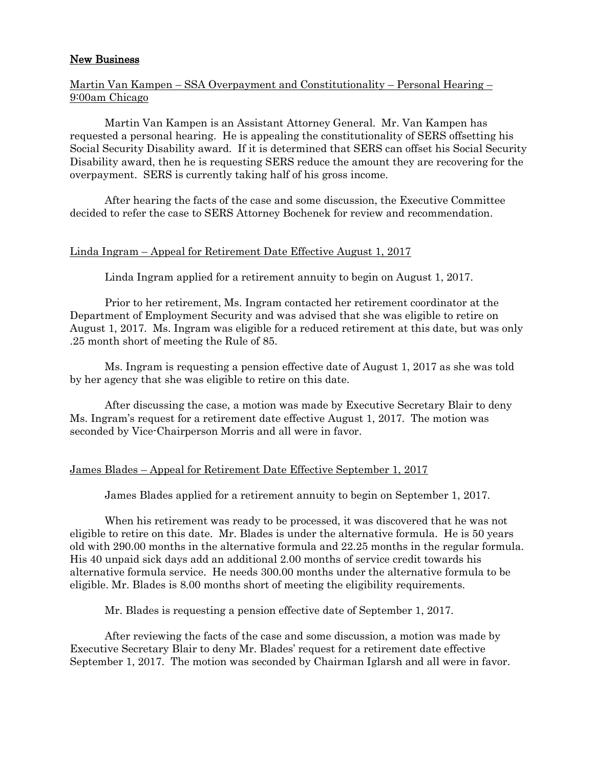## New Business

# Martin Van Kampen – SSA Overpayment and Constitutionality – Personal Hearing – 9:00am Chicago

Martin Van Kampen is an Assistant Attorney General. Mr. Van Kampen has requested a personal hearing. He is appealing the constitutionality of SERS offsetting his Social Security Disability award. If it is determined that SERS can offset his Social Security Disability award, then he is requesting SERS reduce the amount they are recovering for the overpayment. SERS is currently taking half of his gross income.

After hearing the facts of the case and some discussion, the Executive Committee decided to refer the case to SERS Attorney Bochenek for review and recommendation.

# Linda Ingram – Appeal for Retirement Date Effective August 1, 2017

Linda Ingram applied for a retirement annuity to begin on August 1, 2017.

Prior to her retirement, Ms. Ingram contacted her retirement coordinator at the Department of Employment Security and was advised that she was eligible to retire on August 1, 2017. Ms. Ingram was eligible for a reduced retirement at this date, but was only .25 month short of meeting the Rule of 85.

Ms. Ingram is requesting a pension effective date of August 1, 2017 as she was told by her agency that she was eligible to retire on this date.

After discussing the case, a motion was made by Executive Secretary Blair to deny Ms. Ingram's request for a retirement date effective August 1, 2017. The motion was seconded by Vice-Chairperson Morris and all were in favor.

## James Blades – Appeal for Retirement Date Effective September 1, 2017

James Blades applied for a retirement annuity to begin on September 1, 2017.

When his retirement was ready to be processed, it was discovered that he was not eligible to retire on this date. Mr. Blades is under the alternative formula. He is 50 years old with 290.00 months in the alternative formula and 22.25 months in the regular formula. His 40 unpaid sick days add an additional 2.00 months of service credit towards his alternative formula service. He needs 300.00 months under the alternative formula to be eligible. Mr. Blades is 8.00 months short of meeting the eligibility requirements.

Mr. Blades is requesting a pension effective date of September 1, 2017.

After reviewing the facts of the case and some discussion, a motion was made by Executive Secretary Blair to deny Mr. Blades' request for a retirement date effective September 1, 2017. The motion was seconded by Chairman Iglarsh and all were in favor.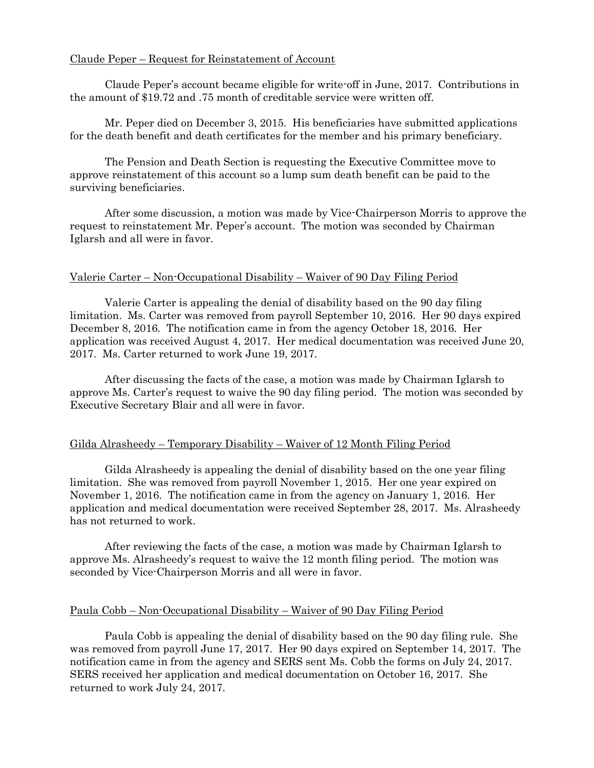# Claude Peper – Request for Reinstatement of Account

Claude Peper's account became eligible for write-off in June, 2017. Contributions in the amount of \$19.72 and .75 month of creditable service were written off.

Mr. Peper died on December 3, 2015. His beneficiaries have submitted applications for the death benefit and death certificates for the member and his primary beneficiary.

The Pension and Death Section is requesting the Executive Committee move to approve reinstatement of this account so a lump sum death benefit can be paid to the surviving beneficiaries.

After some discussion, a motion was made by Vice-Chairperson Morris to approve the request to reinstatement Mr. Peper's account. The motion was seconded by Chairman Iglarsh and all were in favor.

# Valerie Carter – Non-Occupational Disability – Waiver of 90 Day Filing Period

Valerie Carter is appealing the denial of disability based on the 90 day filing limitation. Ms. Carter was removed from payroll September 10, 2016. Her 90 days expired December 8, 2016. The notification came in from the agency October 18, 2016. Her application was received August 4, 2017. Her medical documentation was received June 20, 2017. Ms. Carter returned to work June 19, 2017.

After discussing the facts of the case, a motion was made by Chairman Iglarsh to approve Ms. Carter's request to waive the 90 day filing period. The motion was seconded by Executive Secretary Blair and all were in favor.

# Gilda Alrasheedy – Temporary Disability – Waiver of 12 Month Filing Period

Gilda Alrasheedy is appealing the denial of disability based on the one year filing limitation. She was removed from payroll November 1, 2015. Her one year expired on November 1, 2016. The notification came in from the agency on January 1, 2016. Her application and medical documentation were received September 28, 2017. Ms. Alrasheedy has not returned to work.

After reviewing the facts of the case, a motion was made by Chairman Iglarsh to approve Ms. Alrasheedy's request to waive the 12 month filing period. The motion was seconded by Vice-Chairperson Morris and all were in favor.

## Paula Cobb – Non-Occupational Disability – Waiver of 90 Day Filing Period

Paula Cobb is appealing the denial of disability based on the 90 day filing rule. She was removed from payroll June 17, 2017. Her 90 days expired on September 14, 2017. The notification came in from the agency and SERS sent Ms. Cobb the forms on July 24, 2017. SERS received her application and medical documentation on October 16, 2017. She returned to work July 24, 2017.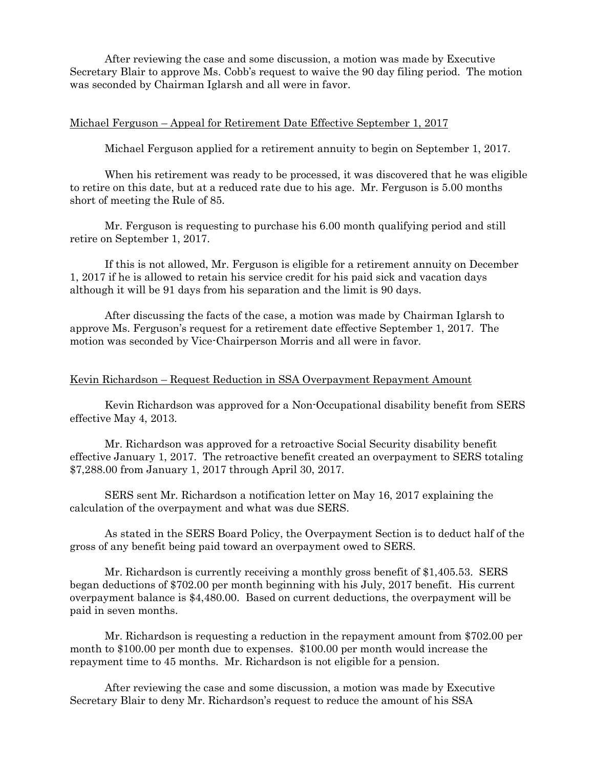After reviewing the case and some discussion, a motion was made by Executive Secretary Blair to approve Ms. Cobb's request to waive the 90 day filing period. The motion was seconded by Chairman Iglarsh and all were in favor.

### Michael Ferguson – Appeal for Retirement Date Effective September 1, 2017

Michael Ferguson applied for a retirement annuity to begin on September 1, 2017.

When his retirement was ready to be processed, it was discovered that he was eligible to retire on this date, but at a reduced rate due to his age. Mr. Ferguson is 5.00 months short of meeting the Rule of 85.

Mr. Ferguson is requesting to purchase his 6.00 month qualifying period and still retire on September 1, 2017.

If this is not allowed, Mr. Ferguson is eligible for a retirement annuity on December 1, 2017 if he is allowed to retain his service credit for his paid sick and vacation days although it will be 91 days from his separation and the limit is 90 days.

After discussing the facts of the case, a motion was made by Chairman Iglarsh to approve Ms. Ferguson's request for a retirement date effective September 1, 2017. The motion was seconded by Vice-Chairperson Morris and all were in favor.

### Kevin Richardson – Request Reduction in SSA Overpayment Repayment Amount

Kevin Richardson was approved for a Non-Occupational disability benefit from SERS effective May 4, 2013.

Mr. Richardson was approved for a retroactive Social Security disability benefit effective January 1, 2017. The retroactive benefit created an overpayment to SERS totaling \$7,288.00 from January 1, 2017 through April 30, 2017.

SERS sent Mr. Richardson a notification letter on May 16, 2017 explaining the calculation of the overpayment and what was due SERS.

As stated in the SERS Board Policy, the Overpayment Section is to deduct half of the gross of any benefit being paid toward an overpayment owed to SERS.

Mr. Richardson is currently receiving a monthly gross benefit of \$1,405.53. SERS began deductions of \$702.00 per month beginning with his July, 2017 benefit. His current overpayment balance is \$4,480.00. Based on current deductions, the overpayment will be paid in seven months.

Mr. Richardson is requesting a reduction in the repayment amount from \$702.00 per month to \$100.00 per month due to expenses. \$100.00 per month would increase the repayment time to 45 months. Mr. Richardson is not eligible for a pension.

After reviewing the case and some discussion, a motion was made by Executive Secretary Blair to deny Mr. Richardson's request to reduce the amount of his SSA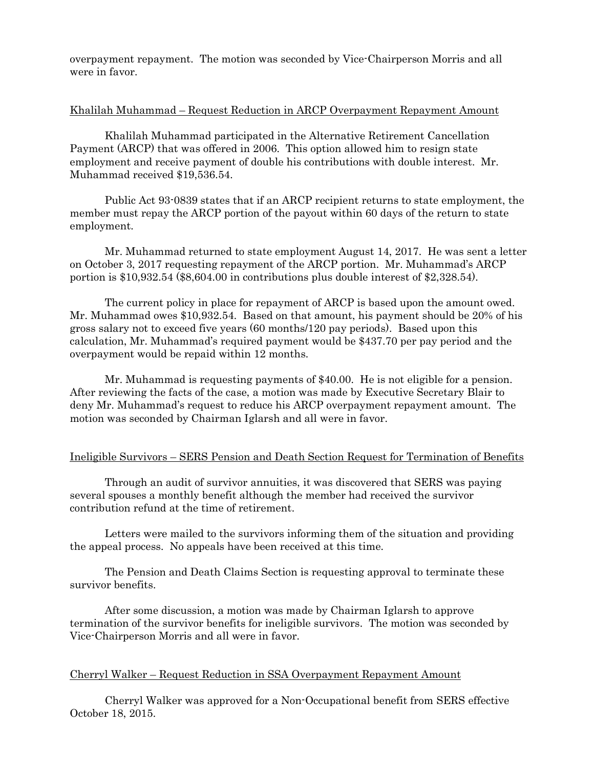overpayment repayment. The motion was seconded by Vice-Chairperson Morris and all were in favor.

## Khalilah Muhammad – Request Reduction in ARCP Overpayment Repayment Amount

Khalilah Muhammad participated in the Alternative Retirement Cancellation Payment (ARCP) that was offered in 2006. This option allowed him to resign state employment and receive payment of double his contributions with double interest. Mr. Muhammad received \$19,536.54.

Public Act 93-0839 states that if an ARCP recipient returns to state employment, the member must repay the ARCP portion of the payout within 60 days of the return to state employment.

Mr. Muhammad returned to state employment August 14, 2017. He was sent a letter on October 3, 2017 requesting repayment of the ARCP portion. Mr. Muhammad's ARCP portion is \$10,932.54 (\$8,604.00 in contributions plus double interest of \$2,328.54).

The current policy in place for repayment of ARCP is based upon the amount owed. Mr. Muhammad owes \$10,932.54. Based on that amount, his payment should be 20% of his gross salary not to exceed five years (60 months/120 pay periods). Based upon this calculation, Mr. Muhammad's required payment would be \$437.70 per pay period and the overpayment would be repaid within 12 months.

Mr. Muhammad is requesting payments of \$40.00. He is not eligible for a pension. After reviewing the facts of the case, a motion was made by Executive Secretary Blair to deny Mr. Muhammad's request to reduce his ARCP overpayment repayment amount. The motion was seconded by Chairman Iglarsh and all were in favor.

# Ineligible Survivors – SERS Pension and Death Section Request for Termination of Benefits

Through an audit of survivor annuities, it was discovered that SERS was paying several spouses a monthly benefit although the member had received the survivor contribution refund at the time of retirement.

Letters were mailed to the survivors informing them of the situation and providing the appeal process. No appeals have been received at this time.

The Pension and Death Claims Section is requesting approval to terminate these survivor benefits.

After some discussion, a motion was made by Chairman Iglarsh to approve termination of the survivor benefits for ineligible survivors. The motion was seconded by Vice-Chairperson Morris and all were in favor.

# Cherryl Walker – Request Reduction in SSA Overpayment Repayment Amount

Cherryl Walker was approved for a Non-Occupational benefit from SERS effective October 18, 2015.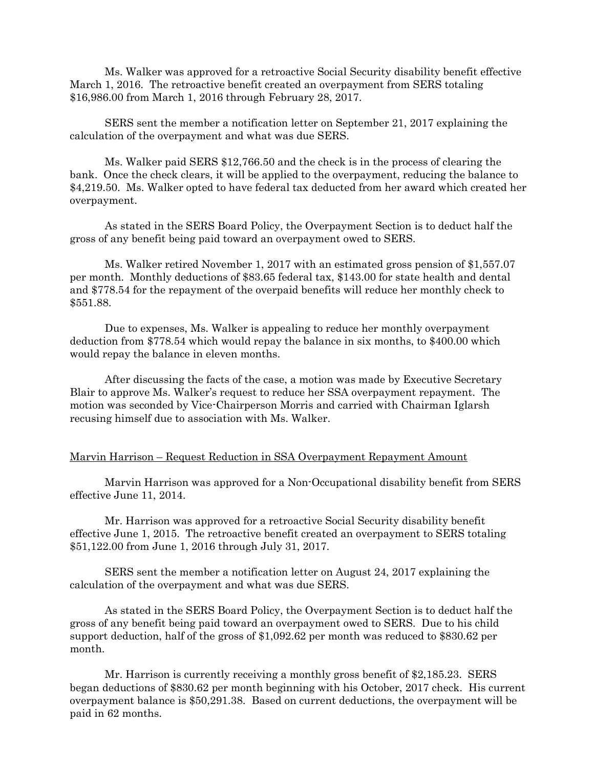Ms. Walker was approved for a retroactive Social Security disability benefit effective March 1, 2016. The retroactive benefit created an overpayment from SERS totaling \$16,986.00 from March 1, 2016 through February 28, 2017.

SERS sent the member a notification letter on September 21, 2017 explaining the calculation of the overpayment and what was due SERS.

Ms. Walker paid SERS \$12,766.50 and the check is in the process of clearing the bank. Once the check clears, it will be applied to the overpayment, reducing the balance to \$4,219.50. Ms. Walker opted to have federal tax deducted from her award which created her overpayment.

As stated in the SERS Board Policy, the Overpayment Section is to deduct half the gross of any benefit being paid toward an overpayment owed to SERS.

Ms. Walker retired November 1, 2017 with an estimated gross pension of \$1,557.07 per month. Monthly deductions of \$83.65 federal tax, \$143.00 for state health and dental and \$778.54 for the repayment of the overpaid benefits will reduce her monthly check to \$551.88.

Due to expenses, Ms. Walker is appealing to reduce her monthly overpayment deduction from \$778.54 which would repay the balance in six months, to \$400.00 which would repay the balance in eleven months.

After discussing the facts of the case, a motion was made by Executive Secretary Blair to approve Ms. Walker's request to reduce her SSA overpayment repayment. The motion was seconded by Vice-Chairperson Morris and carried with Chairman Iglarsh recusing himself due to association with Ms. Walker.

### Marvin Harrison – Request Reduction in SSA Overpayment Repayment Amount

Marvin Harrison was approved for a Non-Occupational disability benefit from SERS effective June 11, 2014.

Mr. Harrison was approved for a retroactive Social Security disability benefit effective June 1, 2015. The retroactive benefit created an overpayment to SERS totaling \$51,122.00 from June 1, 2016 through July 31, 2017.

SERS sent the member a notification letter on August 24, 2017 explaining the calculation of the overpayment and what was due SERS.

As stated in the SERS Board Policy, the Overpayment Section is to deduct half the gross of any benefit being paid toward an overpayment owed to SERS. Due to his child support deduction, half of the gross of \$1,092.62 per month was reduced to \$830.62 per month.

Mr. Harrison is currently receiving a monthly gross benefit of \$2,185.23. SERS began deductions of \$830.62 per month beginning with his October, 2017 check. His current overpayment balance is \$50,291.38. Based on current deductions, the overpayment will be paid in 62 months.